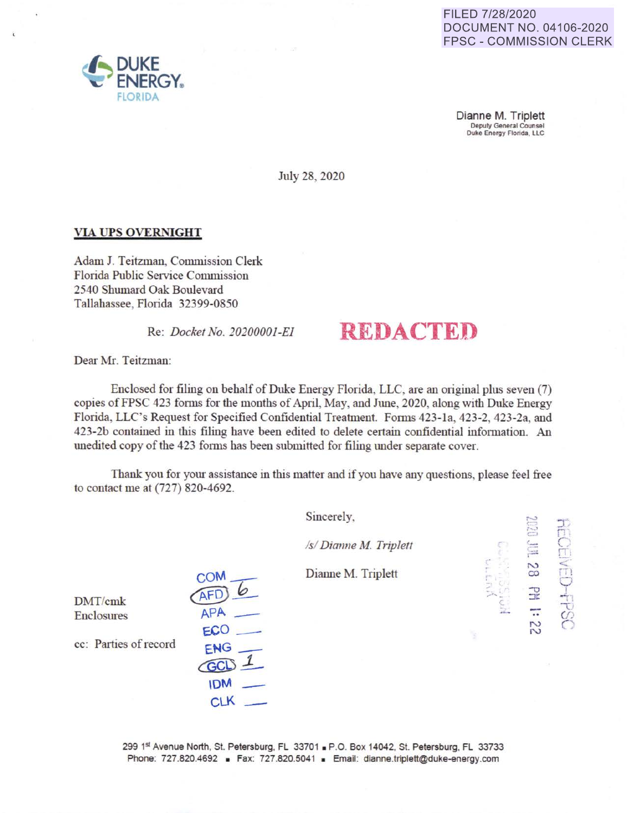## FILED 7/28/2020 DOCUMENT NO. 04106-2020 FPSC - COMMISSION CLERK

Dianne M. Triplett Deputy General Counsel<br>Duke Energy Florida, LLC

July 28, 2020

## **VIA UPS OVERNIGHT**

Adam J. Teitzman, Commission Clerk Florida Public Service Commission 2540 Shumard Oak Boulevard Tallahassee, Florida 32399-0850

# Re: *Docket No. 20200001-EI* **REDACTED**

Dear Mr. Teitzman:

Enclosed for filing on behalf of Duke Energy Florida, LLC, are an original plus seven (7) copies of FPSC 423 forms for the months of April, May, and June, 2020, along with Duke Energy Florida, LLC's Request for Specified Confidential Treatment. Forms 423-1a, 423-2, 423-2a, and 423-2b contained in this filing have been edited to delete certain confidential information. An unedited copy of the 423 fonns has been submitted for filing under separate cover.

Thank you for your assistance in this matter and if you have any questions, please feel free to contact me at (727) 820-4692 .

|                       |            | Sincerely,             |   | <b>GERS</b>                 |                  |
|-----------------------|------------|------------------------|---|-----------------------------|------------------|
|                       |            | /s/ Dianne M. Triplett |   | Ê                           | Ц.               |
|                       | <b>COM</b> | Dianne M. Triplett     |   | 82                          | $\Box$           |
| DMT/cmk               |            |                        | 도 | 곺<br><b>Group Aid</b>       | $\frac{1}{\tau}$ |
| Enclosures            | APA<br>ECO |                        |   | $\bullet$<br>$\overline{c}$ |                  |
| cc: Parties of record | ENG        |                        |   |                             |                  |
|                       | <b>GCI</b> |                        |   |                             |                  |
|                       | <b>IDM</b> |                        |   |                             |                  |

299 1st Avenue North, St. Petersburg, FL 33701 · P.O. Box 14042, St. Petersburg, FL 33733 Phone: 727.820.4692 · Fax: 727.820.5041 · Email: dianne.triplett@duke-energy.com

 $CLK$   $-$ 

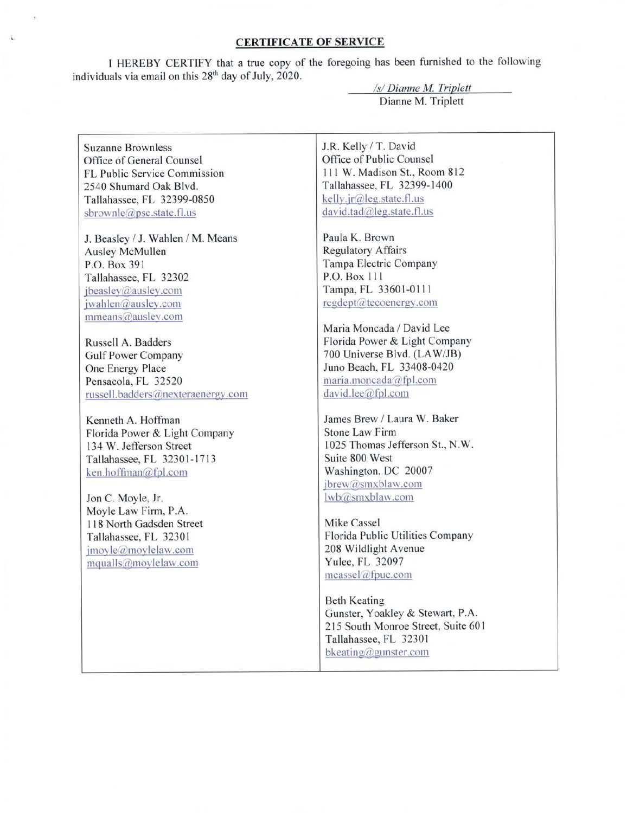#### **CERTIFICATE OF SERVICE**

**l** HEREBY CERTIFY that a true copy of the foregoing has been furnished to the following individuals via email on this 28<sup>th</sup> day of July, 2020.

> *Isl Dianne M Triplett*  Dianne M. Triplett

Suzanne Brownless Office of General Counsel FL Public Service Commission 2540 Shumard Oak Blvd. Tallahassee, FL 32399-0850 sbrownle@psc.state.fl.us

J. Beasley / J. Wahlen / M. Means Ausley McMullen P.O. Box 391 Tallahassee, FL 32302 jbeaslev@ausley.com  $jwahlen@ausley.com$  $mmeans@ausley.com$ 

Russell A. Badders Gulf Power Company One Energy Place Pensacola, FL 32520 russell.badders@nexteraenergy.com

Kenneth A. Hoffman Florida Power & Light Company 134 W. Jefferson Street Tallahassee, FL 32301-1713  $ken.hoffman@fpl.com$ 

Jon C. Moyle, Jr. Moyle Law Firm, P.A. 1 18 North Gadsden Street Tallahassee, FL 3230 I  $\text{imovle}\left(\widehat{a}\right)$  moylelaw.com  $mqualls@mov$  lelaw.com

J.R. Kelly / T. David Office of Public Counsel 111 W. Madison St., Room 812 Tallahassee, FL 32399-1400  $kelly.ir@leg. state. flux$ david.tad@leg.state.fl.us

Paula K. Brown Regulatory Affairs Tampa Electric Company P.O. Box 111 Tampa, FL 33601-0111 regdept@tecoenergy.com

Maria Moncada / David Lee Florida Power & Light Company 700 Universe Blvd. (LA W/JB) Juno Beach, FL 33408-0420 maria.moncada@fpl.com david.lee@fpl.com

James Brew / Laura W. Baker Stone Law Firm 1025 Thomas Jefferson St., N.W. Suite 800 West Washington, DC 20007 jbrew@smxblaw.com lwb@smxblaw.com

Mike Cassel Florida Public Utilities Company 208 Wildlight Avenue Yulee, FL 32097  $measured$ afpuc.com

Beth Keating Gunster, Yoakley & Stewart, P.A. 215 South Monroe Street, Suite 60 I Tallahassee, FL 3230 I bkeating(@,gunster.com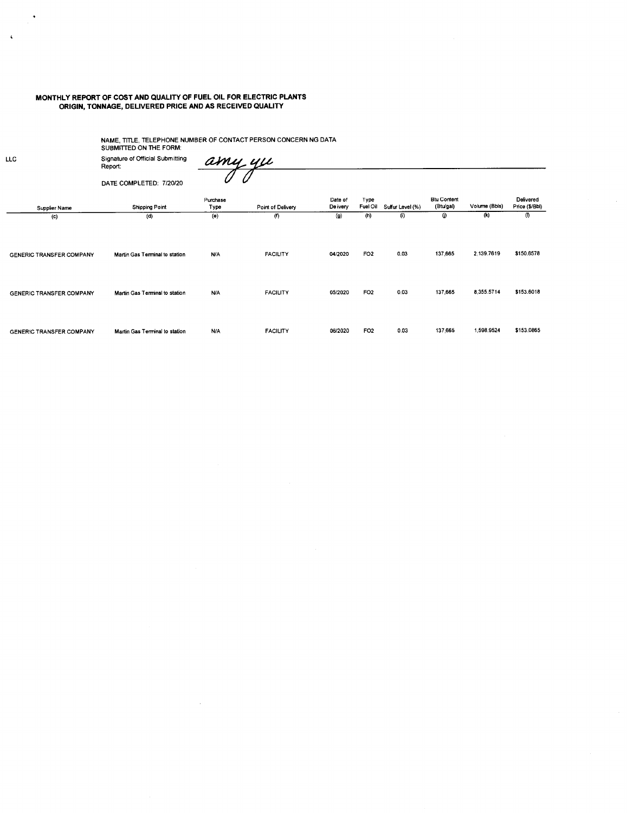#### **MONTHLY REPORT OF COST AND QUALITY OF FUEL OIL FOR ELECTRIC PLANTS ORIGIN, TONNAGE, DELIVERED PRICE AND AS RECEIVED QUALITY**

NAME, TITLE, TELEPHONE NUMBER OF CONTACT PERSON CONCERN NG DATA<br>SUBMITTED ON THE FORM:

Signature of Official Submitting Report: DATE COMPLETED: 7120120

amy yu Û 0

**Supplier Name**  (c) GENERIC TRANSFER COMPANY GENERIC TRANSFER COMPANY GENERIC TRANSFER COMPANY **Shipping Point**   $\overline{d}$ **Martin Gas Terminal to station Martin Gas Terminal to station Martin Gas Terminal to station Purchase**  Type **(e) NIA NIA NIA Point of Delivery**  (f) FACILITY FACILITY FACILITY **Date of De ivery**  (g) 0412020 0512020 0612020 Type **Fuel Oil Sulfur Level** (%)  $(h)$  (i) FO2 0.03 FO2 0.03 FO2 0.03 **Btu Content**  (Btu/gal)  $\overline{0}$ 137,665 137,665 137,665 Volume (Bbls) (k) 2,139.7619 8,355.5714 1,598.9524 **Delivered**  Price (\$/Bbl)  $\overline{0}$ \$150.6578 \$153.6018 \$153.0865

LLC

 $\ddot{\phantom{1}}$ 

 $\epsilon$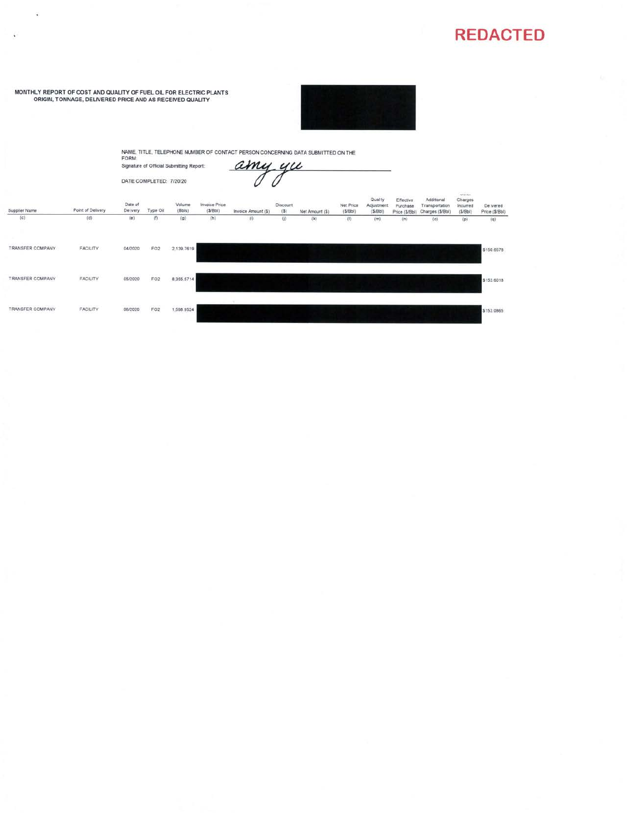# **REDACTED**

MONTHLY REPORT OF COST AND QUALITY OF FUEL OIL FOR ELECTRIC PLANTS<br>ORIGIN, TONNAGE, DELIVERED PRICE AND AS RECEIVED QUALITY

 $\widetilde{\bullet}$ 

 $\overline{\mathbf{L}}$ 



NAME, TITLE, TELEPHONE NUMBER OF CONTACT PERSON CONCERNING DATA SUBMITTED ON THE FORM:<br>FORM:<br>Signature of Official Submitting Report:  $\mathcal{AMU}_\text{L}\,\mu$ 

DATE COMPLETED: 7/20/20

amy yu

| Supplier Name    | Point of Delivery | <b>WARRANT</b><br>Date of<br>De ivery | Type Oil            | <b>NOSO</b><br>Volume<br>(Bbis) | Invoice Price<br>(S/Bbl) | Invoice Amount (\$) | 20<br>Discount<br>(S) | Net Amount (\$) | Net Price<br>$($ S/Bbl) | Qual ty<br>Adjustment<br>(S/Bbl) | Effective<br>Purchase<br>Price (\$/Bbl) | Additional<br>Transportation<br>Charges (\$/Bbl) | <b>Suit lot short</b><br>Charges<br>Incurred<br>(5/8b) | De ivered<br>Price (\$/Bbl) |
|------------------|-------------------|---------------------------------------|---------------------|---------------------------------|--------------------------|---------------------|-----------------------|-----------------|-------------------------|----------------------------------|-----------------------------------------|--------------------------------------------------|--------------------------------------------------------|-----------------------------|
| (c)<br>- -       | (d)               | (e)                                   | $\langle f \rangle$ | (g)<br>a sa                     | (h)                      | $\langle 0 \rangle$ | 0                     | $\binom{k}{k}$  | $\langle 1 \rangle$     | (m)                              | (n)                                     | (0)                                              | $\left( \mathsf{p}\right)$                             | (q)                         |
| TRANSFER COMPANY | FACILITY          | 04/2020                               | FO <sub>2</sub>     | 2,139,7619                      |                          |                     |                       |                 |                         |                                  |                                         |                                                  |                                                        | \$150.6578                  |
| TRANSFER COMPANY | FACILITY          | 05/2020                               | FO <sub>2</sub>     | 8,355,5714                      |                          |                     |                       |                 |                         |                                  |                                         |                                                  |                                                        | \$153.6018                  |
| TRANSFER COMPANY | FACILITY          | <b>SCONDON DE</b><br>06/2020          | FO <sub>2</sub>     | entronomi<br>1,598.9524         |                          |                     |                       |                 |                         |                                  |                                         |                                                  |                                                        | \$153,0865                  |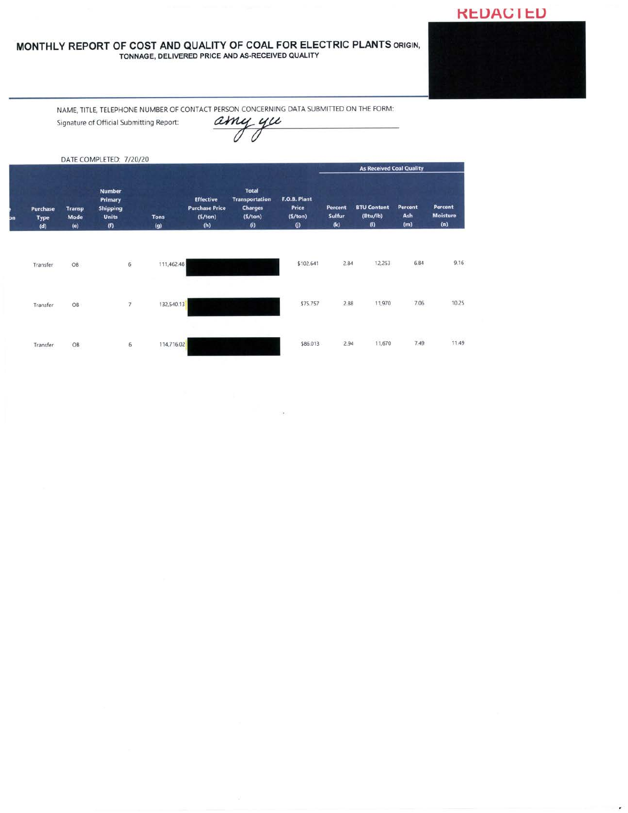## **KEDACIED**

### MONTHLY REPORT OF COST AND QUALITY OF COAL FOR ELECTRIC PLANTS ORIGIN, TONNAGE, DELIVERED PRICE AND AS-RECEIVED QUALITY

NAME, TITLE, TELEPHONE NUMBER OF CONTACT PERSON CONCERNING DATA SUBMITTED ON THE FORM:

Signature of Official Submitting Report:

amy yu

|    |                                       |                              | DATE COMPLETED: 7/20/20                                            |                    |                                                             |                                                                                        |                                              |                                 | <b>As Received Coal Quality</b>       |                       |                                   |
|----|---------------------------------------|------------------------------|--------------------------------------------------------------------|--------------------|-------------------------------------------------------------|----------------------------------------------------------------------------------------|----------------------------------------------|---------------------------------|---------------------------------------|-----------------------|-----------------------------------|
| bn | <b>Purchase</b><br><b>Type</b><br>(d) | <b>Transp</b><br>Mode<br>(e) | <b>Number</b><br>Primary<br><b>Shipping</b><br><b>Units</b><br>(f) | <b>Tons</b><br>(g) | <b>Effective</b><br><b>Purchase Price</b><br>(5/ton)<br>(h) | <b>Total</b><br><b>Transportation</b><br><b>Charges</b><br>(5/ton)<br>$\boldsymbol{0}$ | F.O.B. Plant<br>Price<br>(5/ton)<br>$\omega$ | Percent<br><b>Sulfur</b><br>(k) | <b>BTU Content</b><br>(Btu/lb)<br>(0) | Percent<br>Ash<br>(m) | Percent<br><b>Moisture</b><br>(n) |
|    | Transfer                              | OB                           | $\overline{6}$                                                     | 111,462.48         |                                                             |                                                                                        | \$102.641                                    | 2.84                            | 12,253                                | 6.84                  | 9.16                              |
|    | Transfer                              | OB                           | $\overline{7}$                                                     | 132,540.13         |                                                             |                                                                                        | \$75.757                                     | 2.88                            | 11,970                                | 7.06                  | 10.25                             |
|    | Transfer                              | OB                           | 6                                                                  | 114,716.02         |                                                             |                                                                                        | \$86.013                                     | 2.94                            | 11,670                                | 7.49                  | 11.49                             |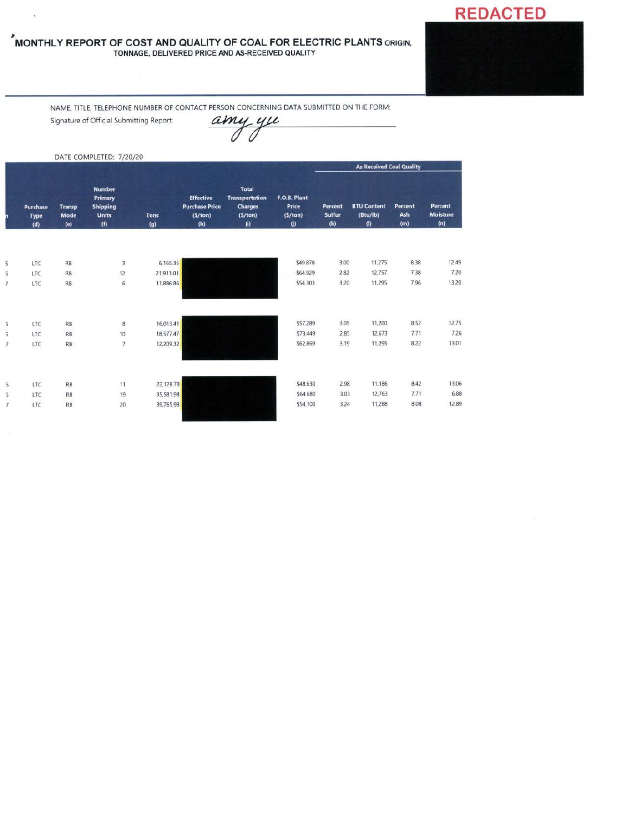# **REDACTED**

#### , **MONTHLY REPORT OF COST ANO QUALITY OF COAL FOR ELECTRIC PLANTS** ORIGIN, TONNAGE, DELIVERED PRICE AND AS-RECEIVED QUALITY

NAME, TITLE, TELEPHONE NUMBER OF CONTACT PERSON CONCERNING DATA SUBMITTED ON THE FORM:<br>Signature of Official Submitting Report:<br>Allen Called Later Contact Properties and Allen Concerning Report:

Signature of Official Submitting Report:

|                         |                                |                              | DATE COMPLETED: 7/20/20                                            |                    |                                                             |                                                                                          |                                                  |                                 |                                                     |                              |                                   |
|-------------------------|--------------------------------|------------------------------|--------------------------------------------------------------------|--------------------|-------------------------------------------------------------|------------------------------------------------------------------------------------------|--------------------------------------------------|---------------------------------|-----------------------------------------------------|------------------------------|-----------------------------------|
|                         |                                |                              |                                                                    |                    |                                                             |                                                                                          |                                                  |                                 | <b>As Received Coal Quality</b>                     |                              |                                   |
|                         | Purchase<br><b>Type</b><br>(d) | <b>Transp</b><br>Mode<br>(e) | <b>Number</b><br>Primary<br><b>Shipping</b><br><b>Units</b><br>(0) | <b>Tons</b><br>(g) | <b>Effective</b><br><b>Purchase Price</b><br>(S/ton)<br>(h) | <b>Total</b><br><b>Transportation</b><br><b>Charges</b><br>(5/ton)<br>$\left( i \right)$ | F.O.B. Plant<br>Price<br>(5/ton)<br>$\mathbf{U}$ | Percent<br><b>Sulfur</b><br>(k) | <b>BTU Content</b><br>(Btu/lb)<br>$\left( 0\right)$ | <b>Percent</b><br>Ash<br>(m) | Percent<br><b>Moisture</b><br>(n) |
|                         |                                |                              |                                                                    |                    |                                                             |                                                                                          |                                                  |                                 |                                                     |                              |                                   |
| $\overline{\mathbf{5}}$ | LTC                            | RB                           | 3                                                                  | 6,165.35           |                                                             |                                                                                          | \$49.878                                         | 3.00                            | 11,275                                              | 8.38                         | 12.49                             |
| 5                       | LTC                            | <b>RB</b>                    | 12                                                                 | 21,911.01          |                                                             |                                                                                          | \$64.929                                         | 2.82                            | 12,757                                              | 7.38                         | 7.20                              |
| $\overline{7}$          | LTC                            | RB                           | $\overline{6}$                                                     | 11,886.86          |                                                             |                                                                                          | \$54.303                                         | 3.20                            | 11,295                                              | 7.96                         | 13.20                             |
| 5                       | LTC                            | RB                           | 8                                                                  | 16,013.41          |                                                             |                                                                                          | \$57.289                                         | 3.05                            | 11,200                                              | 8.52                         | 12.75                             |
|                         | LTC                            | <b>RB</b>                    | 10                                                                 | 18,577.47          |                                                             |                                                                                          | \$73.449                                         | 2.85                            | 12,673                                              | 7.71                         | 7.26                              |
| $\overline{7}$          | LTC                            | RB                           | 7                                                                  | 12,209.32          |                                                             |                                                                                          | \$62.869                                         | 3.19                            | 11,295                                              | 8.22                         | 13.01                             |
|                         |                                |                              |                                                                    |                    |                                                             |                                                                                          |                                                  |                                 |                                                     |                              |                                   |
| 5                       | LTC                            | <b>RB</b>                    | 11                                                                 | 22,128.78          |                                                             |                                                                                          | \$48.630                                         | 2.98                            | 11,186                                              | 8.42                         | 13.06                             |
| 5                       | LTC                            | RB                           | 19                                                                 | 35,581.98          |                                                             |                                                                                          | \$64.680                                         | 3.03                            | 12,763                                              | 7.71                         | 6.88                              |
| $\overline{I}$          | LTC                            | <b>RB</b>                    | 20                                                                 | 39,765.98          |                                                             |                                                                                          | \$54.100                                         | 3.24                            | 11,288                                              | 8.08                         | 12.89                             |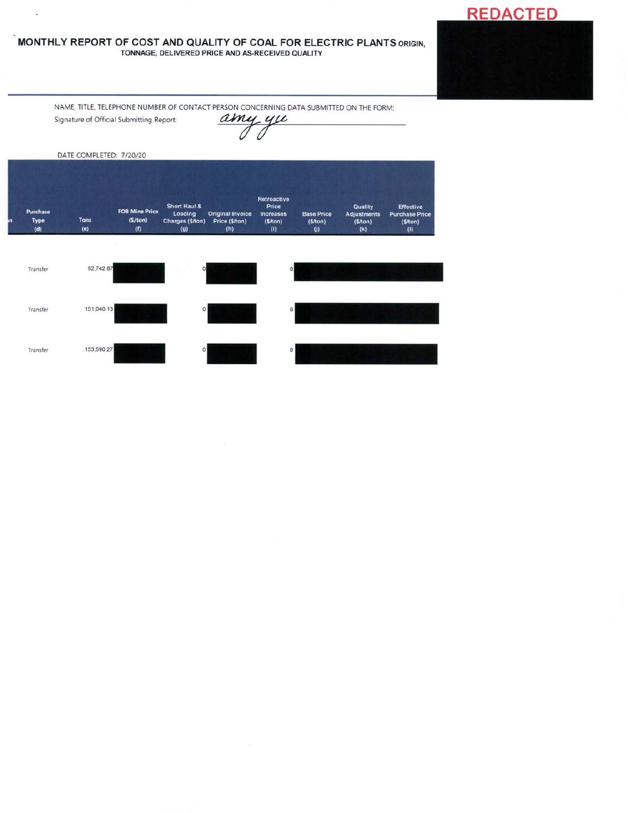#### **MONTHLY REPORT OF COST AND QUALITY OF COAL FOR ELECTRIC PLANTS** ORIGIN, TONNAGE, DELIVERED PRICE ANO AS-RECEIVED QUALITY

NAME, TITLE, TELEPHONE NUMBER OF CONTACT PERSON CONCERNING DATA SUBMITTED ON THE FORM:<br>Signature of Official Submitting Report:<br>Allen Contact the Contact of Official Submitting Report:

.

**REDACTED** 

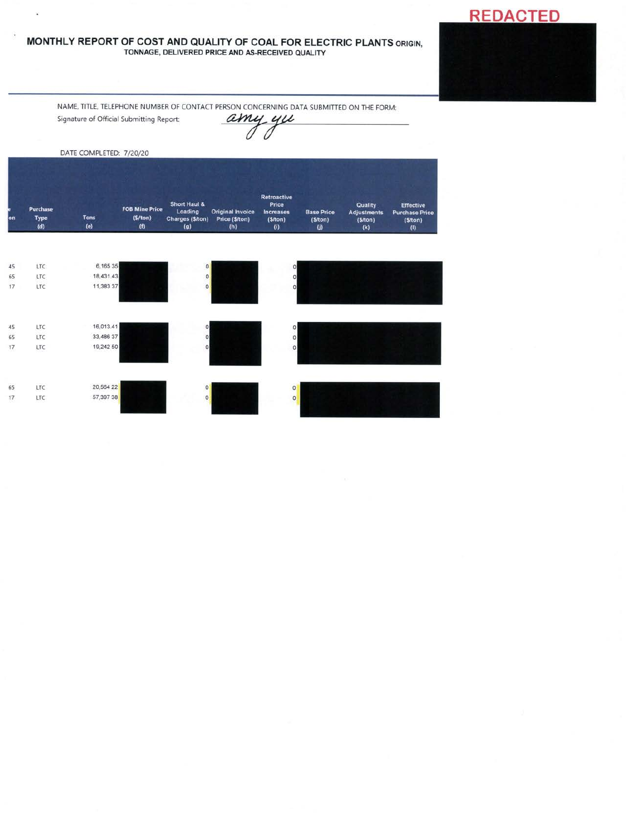#### **MONTHLY REPORT OF COST AND QUALITY OF COAL FOR ELECTRIC PLANTS** ORIGIN, TONNAGE, DELIVERED PRICE AND AS-RECEIVED QUALITY

NAME, TITLE, TELEPHONE NUMBER OF CONTACT PERSON CONCERNING DATA SUBMITTED ON THE FORM:

Signature of Official Submitting Report:

à.

amy yu

|           |                                | DATE COMPLETED: 7/20/20 |                                         |                                                    |                                           |                                                                          |                                              |                                                 |                                                             |
|-----------|--------------------------------|-------------------------|-----------------------------------------|----------------------------------------------------|-------------------------------------------|--------------------------------------------------------------------------|----------------------------------------------|-------------------------------------------------|-------------------------------------------------------------|
| <b>on</b> | Purchase<br><b>Type</b><br>(d) | <b>Tons</b><br>(e)      | <b>FOB Mine Price</b><br>(5/ton)<br>(f) | Short Haul &<br>Loading<br>Charges (\$/ton)<br>(g) | Original Invoice<br>Price (\$/ton)<br>(h) | Retroactive<br>Price<br><b>Increases</b><br>(S/ton)<br>$\left( i\right)$ | <b>Base Price</b><br>(S/ton)<br>$\mathbf{U}$ | Quality<br><b>Adjustments</b><br>(S/ton)<br>(k) | <b>Effective</b><br><b>Purchase Price</b><br>(S/ton)<br>(1) |
|           |                                |                         |                                         |                                                    |                                           |                                                                          |                                              |                                                 |                                                             |
| 45        | <b>LTC</b>                     | 6,165 35                |                                         | $\circ$                                            |                                           | $\circ$                                                                  |                                              |                                                 |                                                             |
| 65        | LTC                            | 18,431.43               |                                         | $\circ$                                            |                                           | $\circ$                                                                  |                                              |                                                 |                                                             |
| 17        | LTC                            | 11,383 37               |                                         | $\Omega$                                           |                                           |                                                                          |                                              |                                                 |                                                             |
| 45        | LTC                            | 16,013.41               |                                         | $\circ$                                            |                                           | $\circ$                                                                  |                                              |                                                 |                                                             |

| $\sim$ | $-1$ |           |                | $\sim$  |
|--------|------|-----------|----------------|---------|
| 65     | LTC  | 33,486 37 | o              | $\circ$ |
| 17     | LTC  | 19,242 50 | $\Omega$       | $\circ$ |
|        |      |           |                |         |
|        |      |           |                |         |
|        |      |           |                |         |
| 65     | LTC  | 20,564 22 | $\overline{0}$ | $\circ$ |
| 17     | LTC  | 57,397 38 | $\circ$        | $\circ$ |
|        |      |           |                |         |
|        |      |           |                |         |

**REDACTED**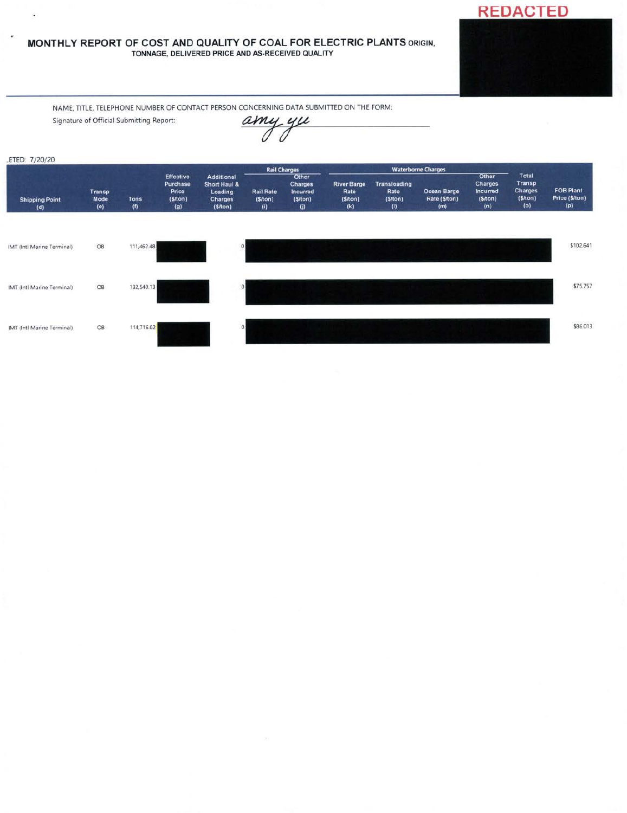#### **MONTHLY REPORT OF COST AND QUALITY OF COAL FOR ELECTRIC PLANTS** ORIGIN, TONNAGE, DELIVERED PRICE AND AS-RECEIVED QUALITY



NAME. TITLE, TELEPHONE NUMBER OF CONTACT PERSON CONCERNING DATA SUBMITTED ON THE FORM:

Signature of Official Submitting Report:

l.

٠



 $\overline{\phantom{a}}$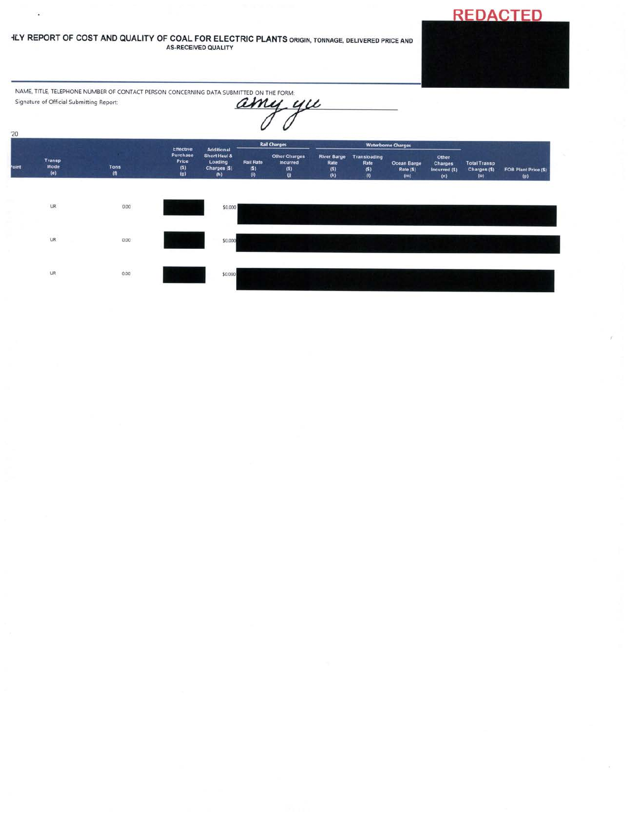# **REDACTED**

 $\lambda$ 

#### **ILY REPORT OF COST AND QUALITY OF COAL FOR ELECTRIC PLANTS ORIGIN, TONNAGE, DELIVERED PRICE AND AS-RECEIVED QUALITY**

NAME, TITLE, TELEPHONE NUMBER OF CONTACT PERSON CONCERNING DATA SUBMITTED ON THE FORM: Signature of Official Submitting Report: amy yu

 $\hat{\textbf{z}}$ 

 $20$ Waterborne Charges **Rail Ch** Additional<br>Short Haul &<br>Loading<br>Charges (\$)<br>(h) River Barge<br>Rate<br>(\$)<br>(k) Transloading<br>Rate<br>(\$)<br>(!) Other<br>Charges<br>Incurred (\$) **Other Charges**<br>Incurred Transp<br>Mode Rail Rate<br>(\$)<br>(i) Total Transp<br>Charges (\$)<br>(0) Ocean Barge<br>Rate (\$)<br>(m)  $\begin{array}{c} \text{Tons} \\ \text{(f)} \end{array}$ יזט<br>(\$)<br>(() FOB Plant Price  $(5)$ <br> $(p)$  $\binom{5}{2}$  $(e)$  $(n)$  $_{\sf UR}$  $0.00$ \$0.000 UR.  $0.00$ \$0.000 **UR**  $0.00$ \$0.000